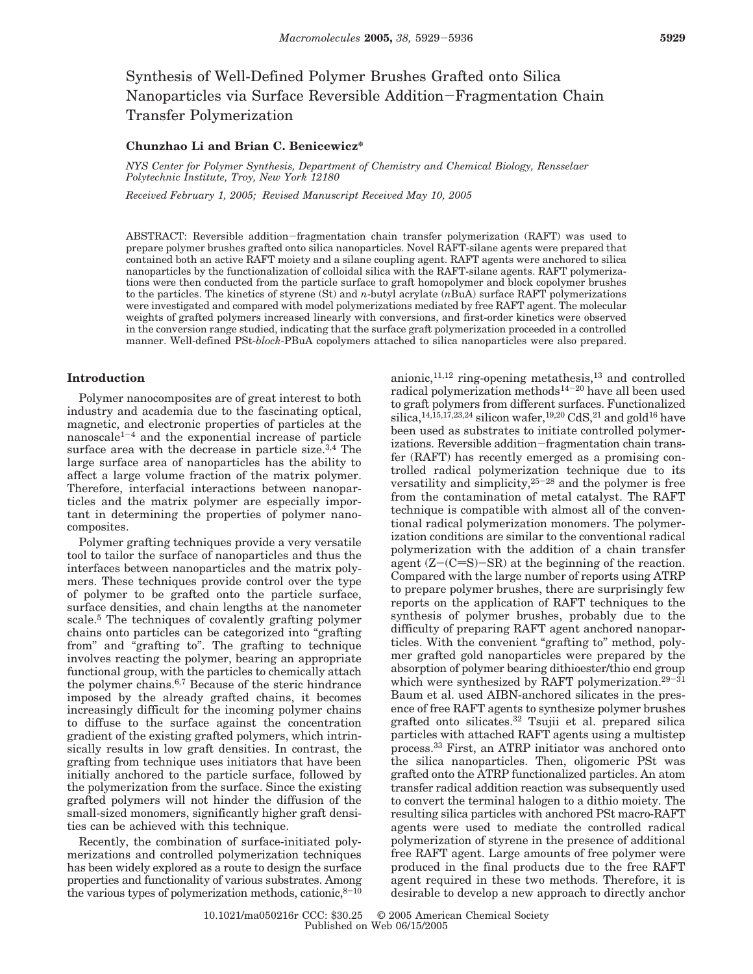# Synthesis of Well-Defined Polymer Brushes Grafted onto Silica Nanoparticles via Surface Reversible Addition-Fragmentation Chain Transfer Polymerization

## **Chunzhao Li and Brian C. Benicewicz\***

*NYS Center for Polymer Synthesis, Department of Chemistry and Chemical Biology, Rensselaer Polytechnic Institute, Troy, New York 12180*

*Received February 1, 2005; Revised Manuscript Received May 10, 2005*

ABSTRACT: Reversible addition-fragmentation chain transfer polymerization (RAFT) was used to prepare polymer brushes grafted onto silica nanoparticles. Novel RAFT-silane agents were prepared that contained both an active RAFT moiety and a silane coupling agent. RAFT agents were anchored to silica nanoparticles by the functionalization of colloidal silica with the RAFT-silane agents. RAFT polymerizations were then conducted from the particle surface to graft homopolymer and block copolymer brushes to the particles. The kinetics of styrene (St) and *n*-butyl acrylate (*n*BuA) surface RAFT polymerizations were investigated and compared with model polymerizations mediated by free RAFT agent. The molecular weights of grafted polymers increased linearly with conversions, and first-order kinetics were observed in the conversion range studied, indicating that the surface graft polymerization proceeded in a controlled manner. Well-defined PSt-*block*-PBuA copolymers attached to silica nanoparticles were also prepared.

## **Introduction**

Polymer nanocomposites are of great interest to both industry and academia due to the fascinating optical, magnetic, and electronic properties of particles at the nanoscale1-<sup>4</sup> and the exponential increase of particle surface area with the decrease in particle size.<sup>3,4</sup> The large surface area of nanoparticles has the ability to affect a large volume fraction of the matrix polymer. Therefore, interfacial interactions between nanoparticles and the matrix polymer are especially important in determining the properties of polymer nanocomposites.

Polymer grafting techniques provide a very versatile tool to tailor the surface of nanoparticles and thus the interfaces between nanoparticles and the matrix polymers. These techniques provide control over the type of polymer to be grafted onto the particle surface, surface densities, and chain lengths at the nanometer scale.5 The techniques of covalently grafting polymer chains onto particles can be categorized into "grafting from" and "grafting to". The grafting to technique involves reacting the polymer, bearing an appropriate functional group, with the particles to chemically attach the polymer chains.6,7 Because of the steric hindrance imposed by the already grafted chains, it becomes increasingly difficult for the incoming polymer chains to diffuse to the surface against the concentration gradient of the existing grafted polymers, which intrinsically results in low graft densities. In contrast, the grafting from technique uses initiators that have been initially anchored to the particle surface, followed by the polymerization from the surface. Since the existing grafted polymers will not hinder the diffusion of the small-sized monomers, significantly higher graft densities can be achieved with this technique.

Recently, the combination of surface-initiated polymerizations and controlled polymerization techniques has been widely explored as a route to design the surface properties and functionality of various substrates. Among the various types of polymerization methods, cationic,  $8-10$ 

anionic,<sup>11,12</sup> ring-opening metathesis,<sup>13</sup> and controlled radical polymerization methods14-<sup>20</sup> have all been used to graft polymers from different surfaces. Functionalized silica,<sup>14,15,17,23,24</sup> silicon wafer,<sup>19,20</sup> CdS,<sup>21</sup> and gold<sup>16</sup> have been used as substrates to initiate controlled polymerizations. Reversible addition-fragmentation chain transfer (RAFT) has recently emerged as a promising controlled radical polymerization technique due to its versatility and simplicity,25-<sup>28</sup> and the polymer is free from the contamination of metal catalyst. The RAFT technique is compatible with almost all of the conventional radical polymerization monomers. The polymerization conditions are similar to the conventional radical polymerization with the addition of a chain transfer agent  $(Z-(C=S)-SR)$  at the beginning of the reaction. Compared with the large number of reports using ATRP to prepare polymer brushes, there are surprisingly few reports on the application of RAFT techniques to the synthesis of polymer brushes, probably due to the difficulty of preparing RAFT agent anchored nanoparticles. With the convenient "grafting to" method, polymer grafted gold nanoparticles were prepared by the absorption of polymer bearing dithioester/thio end group which were synthesized by RAFT polymerization.<sup>29-31</sup> Baum et al. used AIBN-anchored silicates in the presence of free RAFT agents to synthesize polymer brushes grafted onto silicates.32 Tsujii et al. prepared silica particles with attached RAFT agents using a multistep process.33 First, an ATRP initiator was anchored onto the silica nanoparticles. Then, oligomeric PSt was grafted onto the ATRP functionalized particles. An atom transfer radical addition reaction was subsequently used to convert the terminal halogen to a dithio moiety. The resulting silica particles with anchored PSt macro-RAFT agents were used to mediate the controlled radical polymerization of styrene in the presence of additional free RAFT agent. Large amounts of free polymer were produced in the final products due to the free RAFT agent required in these two methods. Therefore, it is desirable to develop a new approach to directly anchor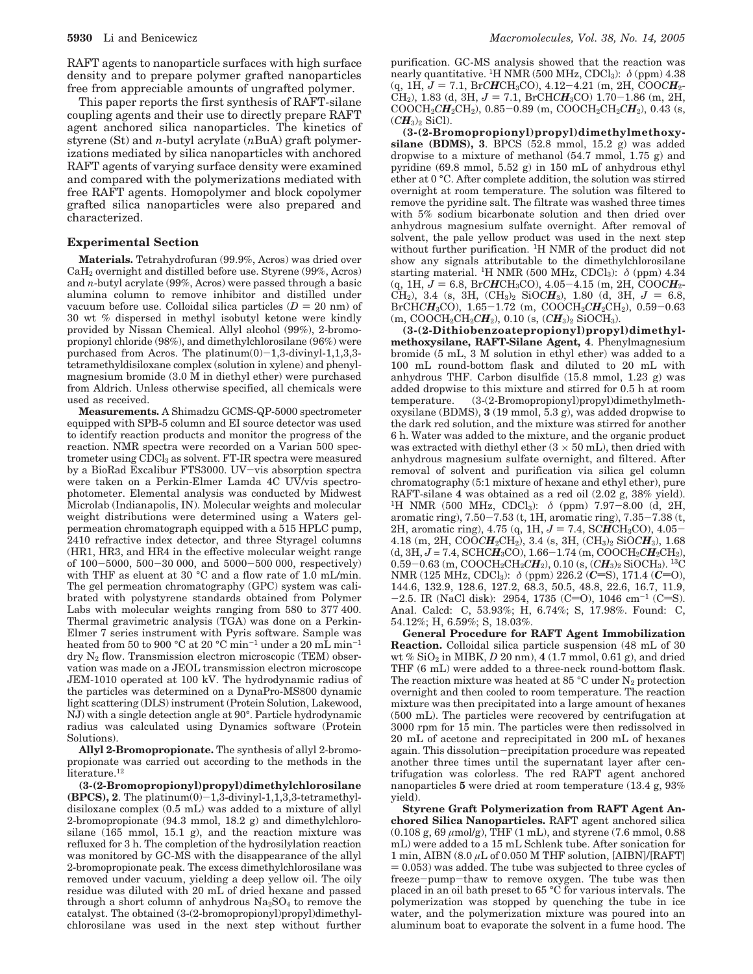RAFT agents to nanoparticle surfaces with high surface density and to prepare polymer grafted nanoparticles free from appreciable amounts of ungrafted polymer.

This paper reports the first synthesis of RAFT-silane coupling agents and their use to directly prepare RAFT agent anchored silica nanoparticles. The kinetics of styrene (St) and *n*-butyl acrylate (*n*BuA) graft polymerizations mediated by silica nanoparticles with anchored RAFT agents of varying surface density were examined and compared with the polymerizations mediated with free RAFT agents. Homopolymer and block copolymer grafted silica nanoparticles were also prepared and characterized.

### **Experimental Section**

**Materials.** Tetrahydrofuran (99.9%, Acros) was dried over CaH2 overnight and distilled before use. Styrene (99%, Acros) and *n*-butyl acrylate (99%, Acros) were passed through a basic alumina column to remove inhibitor and distilled under vacuum before use. Colloidal silica particles  $(D = 20 \text{ nm})$  of 30 wt % dispersed in methyl isobutyl ketone were kindly provided by Nissan Chemical. Allyl alcohol (99%), 2-bromopropionyl chloride (98%), and dimethylchlorosilane (96%) were purchased from Acros. The platinum $(0)-1,3$ -divinyl-1,1,3,3tetramethyldisiloxane complex (solution in xylene) and phenylmagnesium bromide (3.0 M in diethyl ether) were purchased from Aldrich. Unless otherwise specified, all chemicals were used as received.

**Measurements.** A Shimadzu GCMS-QP-5000 spectrometer equipped with SPB-5 column and EI source detector was used to identify reaction products and monitor the progress of the reaction. NMR spectra were recorded on a Varian 500 spectrometer using CDCl3 as solvent. FT-IR spectra were measured by a BioRad Excalibur FTS3000. UV-vis absorption spectra were taken on a Perkin-Elmer Lamda 4C UV/vis spectrophotometer. Elemental analysis was conducted by Midwest Microlab (Indianapolis, IN). Molecular weights and molecular weight distributions were determined using a Waters gelpermeation chromatograph equipped with a 515 HPLC pump, 2410 refractive index detector, and three Styragel columns (HR1, HR3, and HR4 in the effective molecular weight range of 100-5000, 500-30 000, and 5000-500 000, respectively) with THF as eluent at 30 °C and a flow rate of 1.0 mL/min. The gel permeation chromatography (GPC) system was calibrated with polystyrene standards obtained from Polymer Labs with molecular weights ranging from 580 to 377 400. Thermal gravimetric analysis (TGA) was done on a Perkin-Elmer 7 series instrument with Pyris software. Sample was heated from 50 to 900 °C at 20 °C min<sup>-1</sup> under a 20 mL min<sup>-1</sup> dry N2 flow. Transmission electron microscopic (TEM) observation was made on a JEOL transmission electron microscope JEM-1010 operated at 100 kV. The hydrodynamic radius of the particles was determined on a DynaPro-MS800 dynamic light scattering (DLS) instrument (Protein Solution, Lakewood, NJ) with a single detection angle at 90°. Particle hydrodynamic radius was calculated using Dynamics software (Protein Solutions).

**Allyl 2-Bromopropionate.** The synthesis of allyl 2-bromopropionate was carried out according to the methods in the literature. $^{\rm 12}$ 

**(3-(2-Bromopropionyl)propyl)dimethylchlorosilane (BPCS), 2**. The platinum(0)-1,3-divinyl-1,1,3,3-tetramethyldisiloxane complex (0.5 mL) was added to a mixture of allyl 2-bromopropionate (94.3 mmol, 18.2 g) and dimethylchlorosilane (165 mmol, 15.1 g), and the reaction mixture was refluxed for 3 h. The completion of the hydrosilylation reaction was monitored by GC-MS with the disappearance of the allyl 2-bromopropionate peak. The excess dimethylchlorosilane was removed under vacuum, yielding a deep yellow oil. The oily residue was diluted with 20 mL of dried hexane and passed through a short column of anhydrous  $Na<sub>2</sub>SO<sub>4</sub>$  to remove the catalyst. The obtained (3-(2-bromopropionyl)propyl)dimethylchlorosilane was used in the next step without further purification. GC-MS analysis showed that the reaction was nearly quantitative. <sup>1</sup>H NMR (500 MHz, CDCl<sub>3</sub>):  $\delta$  (ppm) 4.38  $(q, 1H, J = 7.1, BrCHCH<sub>3</sub>CO), 4.12-4.21$  (m, 2H, COOC*H*<sub>2</sub>-CH<sub>2</sub>), 1.83 (d, 3H,  $J = 7.1$ , BrCHC*H*<sub>3</sub>CO) 1.70-1.86 (m, 2H, COOCH2*CH*2CH2), 0.85-0.89 (m, COOCH2CH2*CH*2), 0.43 (s,  $(C\bm{H}_3)$ <sub>2</sub> SiCl).

**(3-(2-Bromopropionyl)propyl)dimethylmethoxysilane (BDMS), 3**. BPCS (52.8 mmol, 15.2 g) was added dropwise to a mixture of methanol (54.7 mmol, 1.75 g) and pyridine (69.8 mmol, 5.52 g) in 150 mL of anhydrous ethyl ether at 0 °C. After complete addition, the solution was stirred overnight at room temperature. The solution was filtered to remove the pyridine salt. The filtrate was washed three times with 5% sodium bicarbonate solution and then dried over anhydrous magnesium sulfate overnight. After removal of solvent, the pale yellow product was used in the next step without further purification. 1H NMR of the product did not show any signals attributable to the dimethylchlorosilane starting material. <sup>1</sup>H NMR (500 MHz, CDCl<sub>3</sub>):  $\delta$  (ppm) 4.34  $(q, 1H, J = 6.8, BrCHCH<sub>3</sub>CO), 4.05-4.15$  (m, 2H, COOC*H*<sub>2</sub>-CH<sub>2</sub>), 3.4 (s, 3H,  $(CH_3)_2$  SiOC*H*<sub>3</sub>), 1.80 (d, 3H,  $J = 6.8$ , BrCHC $H_3$ CO), 1.65-1.72 (m, COOCH<sub>2</sub>C $H_2$ CH<sub>2</sub>), 0.59-0.63 (m, COOCH2CH2*CH*2), 0.10 (s, (*CH*3)2 SiOCH3).

**(3-(2-Dithiobenzoatepropionyl)propyl)dimethylmethoxysilane, RAFT-Silane Agent, 4**. Phenylmagnesium bromide (5 mL, 3 M solution in ethyl ether) was added to a 100 mL round-bottom flask and diluted to 20 mL with anhydrous THF. Carbon disulfide (15.8 mmol, 1.23 g) was added dropwise to this mixture and stirred for 0.5 h at room temperature. (3-(2-Bromopropionyl)propyl)dimethylmethoxysilane (BDMS), **3** (19 mmol, 5.3 g), was added dropwise to the dark red solution, and the mixture was stirred for another 6 h. Water was added to the mixture, and the organic product was extracted with diethyl ether  $(3 \times 50 \text{ mL})$ , then dried with anhydrous magnesium sulfate overnight, and filtered. After removal of solvent and purification via silica gel column chromatography (5:1 mixture of hexane and ethyl ether), pure RAFT-silane **4** was obtained as a red oil (2.02 g, 38% yield). <sup>1</sup>H NMR (500 MHz, CDCl<sub>3</sub>): δ (ppm) 7.97-8.00 (d, 2H, aromatic ring), 7.50-7.53 (t, 1H, aromatic ring), 7.35-7.38 (t, 2H, aromatic ring), 4.75 (q, 1H,  $J = 7.4$ , SCHCH<sub>3</sub>CO), 4.05-4.18 (m, 2H, COO*CH*2CH2), 3.4 (s, 3H, (CH3)2 SiO*CH*3), 1.68  $(d, 3H, J = 7.4, \text{SCHCH}_3CO), 1.66-1.74 \text{ (m, COOCH}_2CH_2CH_2),$ 0.59-0.63 (m, COOCH<sub>2</sub>CH<sub>2</sub>CH<sub>2</sub>), 0.10 (s, (CH<sub>3</sub>)<sub>2</sub> SiOCH<sub>3</sub>). <sup>13</sup>C NMR (125 MHz, CDCl<sub>3</sub>): δ (ppm) 226.2 (C=S), 171.4 (C=O), 144.6, 132.9, 128.6, 127.2, 68.3, 50.5, 48.8, 22.6, 16.7, 11.9,  $-2.5$ . IR (NaCl disk): 2954, 1735 (C=O), 1046 cm<sup>-1</sup> (C=S). Anal. Calcd: C, 53.93%; H, 6.74%; S, 17.98%. Found: C, 54.12%; H, 6.59%; S, 18.03%.

**General Procedure for RAFT Agent Immobilization Reaction.** Colloidal silica particle suspension (48 mL of 30 wt  $\%$  SiO<sub>2</sub> in MIBK, *D* 20 nm), **4** (1.7 mmol, 0.61 g), and dried THF (6 mL) were added to a three-neck round-bottom flask. The reaction mixture was heated at 85 °C under  $N_2$  protection overnight and then cooled to room temperature. The reaction mixture was then precipitated into a large amount of hexanes (500 mL). The particles were recovered by centrifugation at 3000 rpm for 15 min. The particles were then redissolved in 20 mL of acetone and reprecipitated in 200 mL of hexanes again. This dissolution-precipitation procedure was repeated another three times until the supernatant layer after centrifugation was colorless. The red RAFT agent anchored nanoparticles **5** were dried at room temperature (13.4 g, 93% yield).

**Styrene Graft Polymerization from RAFT Agent Anchored Silica Nanoparticles.** RAFT agent anchored silica  $(0.108$  g,  $69 \mu \mathrm{mol/g})$  ,THF  $(1 \mathrm{~mL})$  ,and styrene  $(7.6 \mathrm{~mmol}, 0.88$ mL) were added to a 15 mL Schlenk tube. After sonication for 1 min, AIBN  $(8.0 \mu L \text{ of } 0.050 \text{ M}$  THF solution, [AIBN]/[RAFT]  $= 0.053$ ) was added. The tube was subjected to three cycles of freeze-pump-thaw to remove oxygen. The tube was then placed in an oil bath preset to 65 °C for various intervals. The polymerization was stopped by quenching the tube in ice water, and the polymerization mixture was poured into an aluminum boat to evaporate the solvent in a fume hood. The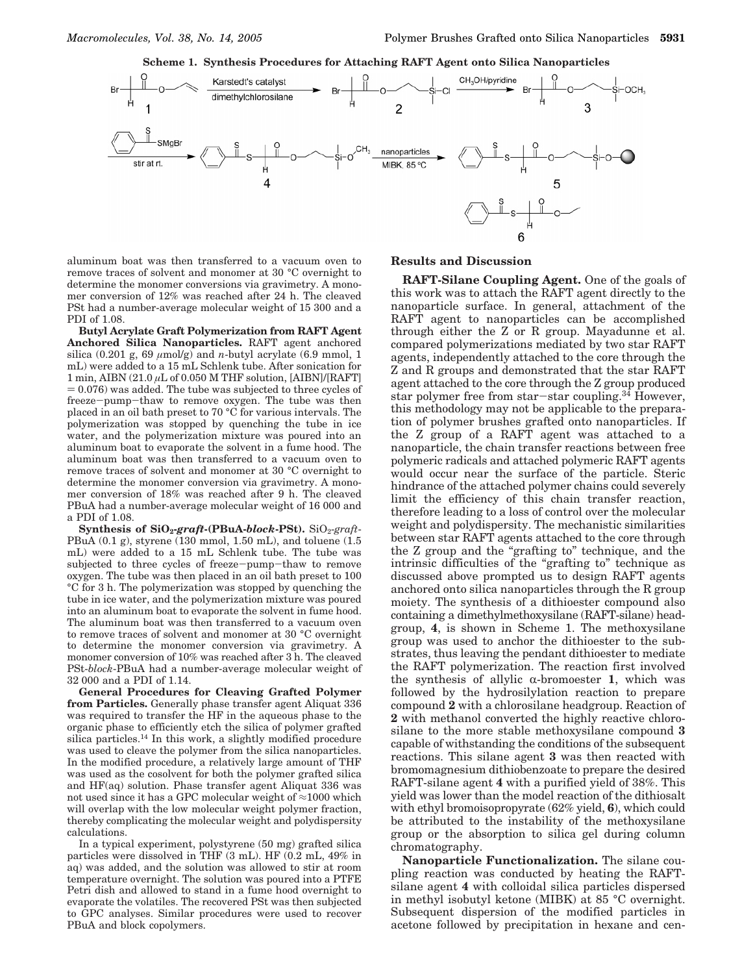

aluminum boat was then transferred to a vacuum oven to remove traces of solvent and monomer at 30 °C overnight to determine the monomer conversions via gravimetry. A monomer conversion of 12% was reached after 24 h. The cleaved PSt had a number-average molecular weight of 15 300 and a PDI of 1.08.

**Butyl Acrylate Graft Polymerization from RAFT Agent Anchored Silica Nanoparticles.** RAFT agent anchored silica (0.201 g, 69  $\mu$ mol/g) and *n*-butyl acrylate (6.9 mmol, 1 mL) were added to a 15 mL Schlenk tube. After sonication for 1 min, AIBN (21.0  $\mu$ L of 0.050 M THF solution, [AIBN]/[RAFT]  $= 0.076$ ) was added. The tube was subjected to three cycles of freeze-pump-thaw to remove oxygen. The tube was then placed in an oil bath preset to 70 °C for various intervals. The polymerization was stopped by quenching the tube in ice water, and the polymerization mixture was poured into an aluminum boat to evaporate the solvent in a fume hood. The aluminum boat was then transferred to a vacuum oven to remove traces of solvent and monomer at 30 °C overnight to determine the monomer conversion via gravimetry. A monomer conversion of 18% was reached after 9 h. The cleaved PBuA had a number-average molecular weight of 16 000 and a PDI of 1.08.

**Synthesis of SiO2-***graft***-(PBuA-***block***-PSt).** SiO2-*graft*-PBuA (0.1 g), styrene (130 mmol, 1.50 mL), and toluene (1.5 mL) were added to a 15 mL Schlenk tube. The tube was subjected to three cycles of freeze-pump-thaw to remove oxygen. The tube was then placed in an oil bath preset to 100 °C for 3 h. The polymerization was stopped by quenching the tube in ice water, and the polymerization mixture was poured into an aluminum boat to evaporate the solvent in fume hood. The aluminum boat was then transferred to a vacuum oven to remove traces of solvent and monomer at 30 °C overnight to determine the monomer conversion via gravimetry. A monomer conversion of 10% was reached after 3 h. The cleaved PSt-*block*-PBuA had a number-average molecular weight of 32 000 and a PDI of 1.14.

**General Procedures for Cleaving Grafted Polymer from Particles.** Generally phase transfer agent Aliquat 336 was required to transfer the HF in the aqueous phase to the organic phase to efficiently etch the silica of polymer grafted silica particles.<sup>14</sup> In this work, a slightly modified procedure was used to cleave the polymer from the silica nanoparticles. In the modified procedure, a relatively large amount of THF was used as the cosolvent for both the polymer grafted silica and HF(aq) solution. Phase transfer agent Aliquat 336 was not used since it has a GPC molecular weight of ≈1000 which will overlap with the low molecular weight polymer fraction, thereby complicating the molecular weight and polydispersity calculations.

In a typical experiment, polystyrene (50 mg) grafted silica particles were dissolved in THF (3 mL). HF (0.2 mL, 49% in aq) was added, and the solution was allowed to stir at room temperature overnight. The solution was poured into a PTFE Petri dish and allowed to stand in a fume hood overnight to evaporate the volatiles. The recovered PSt was then subjected to GPC analyses. Similar procedures were used to recover PBuA and block copolymers.

### **Results and Discussion**

**RAFT-Silane Coupling Agent.** One of the goals of this work was to attach the RAFT agent directly to the nanoparticle surface. In general, attachment of the RAFT agent to nanoparticles can be accomplished through either the Z or R group. Mayadunne et al. compared polymerizations mediated by two star RAFT agents, independently attached to the core through the Z and R groups and demonstrated that the star RAFT agent attached to the core through the Z group produced star polymer free from star-star coupling.34 However, this methodology may not be applicable to the preparation of polymer brushes grafted onto nanoparticles. If the Z group of a RAFT agent was attached to a nanoparticle, the chain transfer reactions between free polymeric radicals and attached polymeric RAFT agents would occur near the surface of the particle. Steric hindrance of the attached polymer chains could severely limit the efficiency of this chain transfer reaction, therefore leading to a loss of control over the molecular weight and polydispersity. The mechanistic similarities between star RAFT agents attached to the core through the Z group and the "grafting to" technique, and the intrinsic difficulties of the "grafting to" technique as discussed above prompted us to design RAFT agents anchored onto silica nanoparticles through the R group moiety. The synthesis of a dithioester compound also containing a dimethylmethoxysilane (RAFT-silane) headgroup, **4**, is shown in Scheme 1. The methoxysilane group was used to anchor the dithioester to the substrates, thus leaving the pendant dithioester to mediate the RAFT polymerization. The reaction first involved the synthesis of allylic  $\alpha$ -bromoester 1, which was followed by the hydrosilylation reaction to prepare compound **2** with a chlorosilane headgroup. Reaction of **2** with methanol converted the highly reactive chlorosilane to the more stable methoxysilane compound **3** capable of withstanding the conditions of the subsequent reactions. This silane agent **3** was then reacted with bromomagnesium dithiobenzoate to prepare the desired RAFT-silane agent **4** with a purified yield of 38%. This yield was lower than the model reaction of the dithiosalt with ethyl bromoisopropyrate (62% yield, **6**), which could be attributed to the instability of the methoxysilane group or the absorption to silica gel during column chromatography.

**Nanoparticle Functionalization.** The silane coupling reaction was conducted by heating the RAFTsilane agent **4** with colloidal silica particles dispersed in methyl isobutyl ketone (MIBK) at 85 °C overnight. Subsequent dispersion of the modified particles in acetone followed by precipitation in hexane and cen-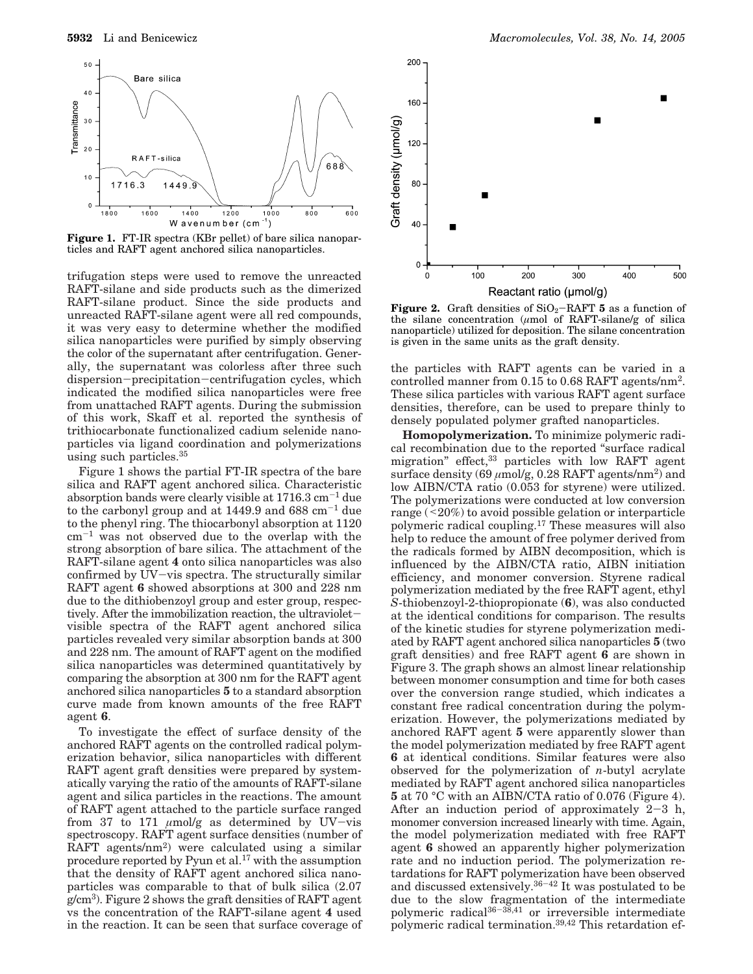

**Figure 1.** FT-IR spectra (KBr pellet) of bare silica nanoparticles and RAFT agent anchored silica nanoparticles.

trifugation steps were used to remove the unreacted RAFT-silane and side products such as the dimerized RAFT-silane product. Since the side products and unreacted RAFT-silane agent were all red compounds, it was very easy to determine whether the modified silica nanoparticles were purified by simply observing the color of the supernatant after centrifugation. Generally, the supernatant was colorless after three such dispersion-precipitation-centrifugation cycles, which indicated the modified silica nanoparticles were free from unattached RAFT agents. During the submission of this work, Skaff et al. reported the synthesis of trithiocarbonate functionalized cadium selenide nanoparticles via ligand coordination and polymerizations using such particles.35

Figure 1 shows the partial FT-IR spectra of the bare silica and RAFT agent anchored silica. Characteristic absorption bands were clearly visible at  $1716.3 \text{ cm}^{-1}$  due to the carbonyl group and at 1449.9 and 688  $\rm cm^{-1}$  due to the phenyl ring. The thiocarbonyl absorption at 1120 cm-<sup>1</sup> was not observed due to the overlap with the strong absorption of bare silica. The attachment of the RAFT-silane agent **4** onto silica nanoparticles was also confirmed by UV-vis spectra. The structurally similar RAFT agent **6** showed absorptions at 300 and 228 nm due to the dithiobenzoyl group and ester group, respectively. After the immobilization reaction, the ultravioletvisible spectra of the RAFT agent anchored silica particles revealed very similar absorption bands at 300 and 228 nm. The amount of RAFT agent on the modified silica nanoparticles was determined quantitatively by comparing the absorption at 300 nm for the RAFT agent anchored silica nanoparticles **5** to a standard absorption curve made from known amounts of the free RAFT agent **6**.

To investigate the effect of surface density of the anchored RAFT agents on the controlled radical polymerization behavior, silica nanoparticles with different RAFT agent graft densities were prepared by systematically varying the ratio of the amounts of RAFT-silane agent and silica particles in the reactions. The amount of RAFT agent attached to the particle surface ranged from 37 to 171  $\mu$ mol/g as determined by UV-vis spectroscopy. RAFT agent surface densities (number of RAFT agents/nm<sup>2</sup>) were calculated using a similar procedure reported by Pyun et al.17 with the assumption that the density of RAFT agent anchored silica nanoparticles was comparable to that of bulk silica (2.07 g/cm3). Figure 2 shows the graft densities of RAFT agent vs the concentration of the RAFT-silane agent **4** used in the reaction. It can be seen that surface coverage of



**Figure 2.** Graft densities of  $SiO_2-RAFT$  **5** as a function of the silane concentration ( $\mu$ mol of RAFT-silane/g of silica nanoparticle) utilized for deposition. The silane concentration is given in the same units as the graft density.

the particles with RAFT agents can be varied in a controlled manner from 0.15 to 0.68 RAFT agents/nm2. These silica particles with various RAFT agent surface densities, therefore, can be used to prepare thinly to densely populated polymer grafted nanoparticles.

**Homopolymerization.** To minimize polymeric radical recombination due to the reported "surface radical migration" effect,33 particles with low RAFT agent surface density (69  $\mu$ mol/g, 0.28 RAFT agents/nm<sup>2</sup>) and low AIBN/CTA ratio (0.053 for styrene) were utilized. The polymerizations were conducted at low conversion range (<20%) to avoid possible gelation or interparticle polymeric radical coupling.17 These measures will also help to reduce the amount of free polymer derived from the radicals formed by AIBN decomposition, which is influenced by the AIBN/CTA ratio, AIBN initiation efficiency, and monomer conversion. Styrene radical polymerization mediated by the free RAFT agent, ethyl *S*-thiobenzoyl-2-thiopropionate (**6**), was also conducted at the identical conditions for comparison. The results of the kinetic studies for styrene polymerization mediated by RAFT agent anchored silica nanoparticles **5** (two graft densities) and free RAFT agent **6** are shown in Figure 3. The graph shows an almost linear relationship between monomer consumption and time for both cases over the conversion range studied, which indicates a constant free radical concentration during the polymerization. However, the polymerizations mediated by anchored RAFT agent **5** were apparently slower than the model polymerization mediated by free RAFT agent **6** at identical conditions. Similar features were also observed for the polymerization of *n*-butyl acrylate mediated by RAFT agent anchored silica nanoparticles **5** at 70 °C with an AIBN/CTA ratio of 0.076 (Figure 4). After an induction period of approximately 2-3 h, monomer conversion increased linearly with time. Again, the model polymerization mediated with free RAFT agent **6** showed an apparently higher polymerization rate and no induction period. The polymerization retardations for RAFT polymerization have been observed and discussed extensively.36-<sup>42</sup> It was postulated to be due to the slow fragmentation of the intermediate polymeric radical<sup>36-38,41</sup> or irreversible intermediate polymeric radical termination.39,42 This retardation ef-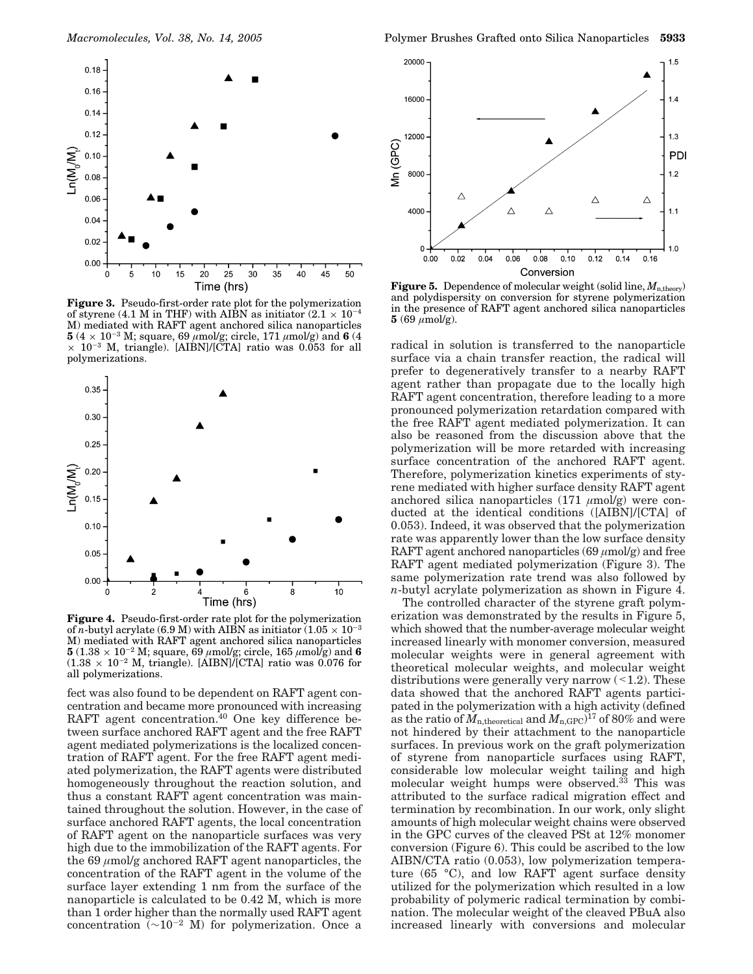

**Figure 3.** Pseudo-first-order rate plot for the polymerization of styrene (4.1 M in THF) with AIBN as initiator (2.1  $\times$  10<sup>-4</sup> M) mediated with RAFT agent anchored silica nanoparticles **5** (4  $\times$  10<sup>-3</sup> M; square, 69  $\mu$ mol/g; circle, 171  $\mu$ mol/g) and **6** (4  $\times$  10<sup>-3</sup> M, triangle). [AIBN]/[CTA] ratio was 0.053 for all polymerizations.



**Figure 4.** Pseudo-first-order rate plot for the polymerization of *n*-butyl acrylate (6.9 M) with AIBN as initiator (1.05  $\times$  10<sup>-3</sup> M) mediated with RAFT agent anchored silica nanoparticles  $5(1.38 \times 10^{-2} \text{ M}; \text{ square}, 69 \mu \text{mol/g}; \text{circle}, 165 \mu \text{mol/g})$  and **6**  $(1.38 \times 10^{-2} \text{ M}, \text{triangle})$ . [AIBN]/[CTA] ratio was 0.076 for all polymerizations.

fect was also found to be dependent on RAFT agent concentration and became more pronounced with increasing RAFT agent concentration.<sup>40</sup> One key difference between surface anchored RAFT agent and the free RAFT agent mediated polymerizations is the localized concentration of RAFT agent. For the free RAFT agent mediated polymerization, the RAFT agents were distributed homogeneously throughout the reaction solution, and thus a constant RAFT agent concentration was maintained throughout the solution. However, in the case of surface anchored RAFT agents, the local concentration of RAFT agent on the nanoparticle surfaces was very high due to the immobilization of the RAFT agents. For the 69  $\mu$ mol/g anchored RAFT agent nanoparticles, the concentration of the RAFT agent in the volume of the surface layer extending 1 nm from the surface of the nanoparticle is calculated to be 0.42 M, which is more than 1 order higher than the normally used RAFT agent concentration  $(\sim 10^{-2}$  M) for polymerization. Once a



Figure 5. Dependence of molecular weight (solid line,  $M_{\text{n,theory}}$ ) and polydispersity on conversion for styrene polymerization in the presence of RAFT agent anchored silica nanoparticles **5** (69  $\mu$ mol/g).

radical in solution is transferred to the nanoparticle surface via a chain transfer reaction, the radical will prefer to degeneratively transfer to a nearby RAFT agent rather than propagate due to the locally high RAFT agent concentration, therefore leading to a more pronounced polymerization retardation compared with the free RAFT agent mediated polymerization. It can also be reasoned from the discussion above that the polymerization will be more retarded with increasing surface concentration of the anchored RAFT agent. Therefore, polymerization kinetics experiments of styrene mediated with higher surface density RAFT agent anchored silica nanoparticles  $(171 \mu \text{mol/g})$  were conducted at the identical conditions ([AIBN]/[CTA] of 0.053). Indeed, it was observed that the polymerization rate was apparently lower than the low surface density RAFT agent anchored nanoparticles  $(69 \mu \text{mol/g})$  and free RAFT agent mediated polymerization (Figure 3). The same polymerization rate trend was also followed by *n*-butyl acrylate polymerization as shown in Figure 4.

The controlled character of the styrene graft polymerization was demonstrated by the results in Figure 5, which showed that the number-average molecular weight increased linearly with monomer conversion, measured molecular weights were in general agreement with theoretical molecular weights, and molecular weight distributions were generally very narrow  $(1.2)$ . These data showed that the anchored RAFT agents participated in the polymerization with a high activity (defined as the ratio of  $M_{\text{n,theoretical}}$  and  $M_{\text{n,GPC}}$ <sup>17</sup> of 80% and were not hindered by their attachment to the nanoparticle surfaces. In previous work on the graft polymerization of styrene from nanoparticle surfaces using RAFT, considerable low molecular weight tailing and high molecular weight humps were observed.33 This was attributed to the surface radical migration effect and termination by recombination. In our work, only slight amounts of high molecular weight chains were observed in the GPC curves of the cleaved PSt at 12% monomer conversion (Figure 6). This could be ascribed to the low AIBN/CTA ratio (0.053), low polymerization temperature (65 °C), and low RAFT agent surface density utilized for the polymerization which resulted in a low probability of polymeric radical termination by combination. The molecular weight of the cleaved PBuA also increased linearly with conversions and molecular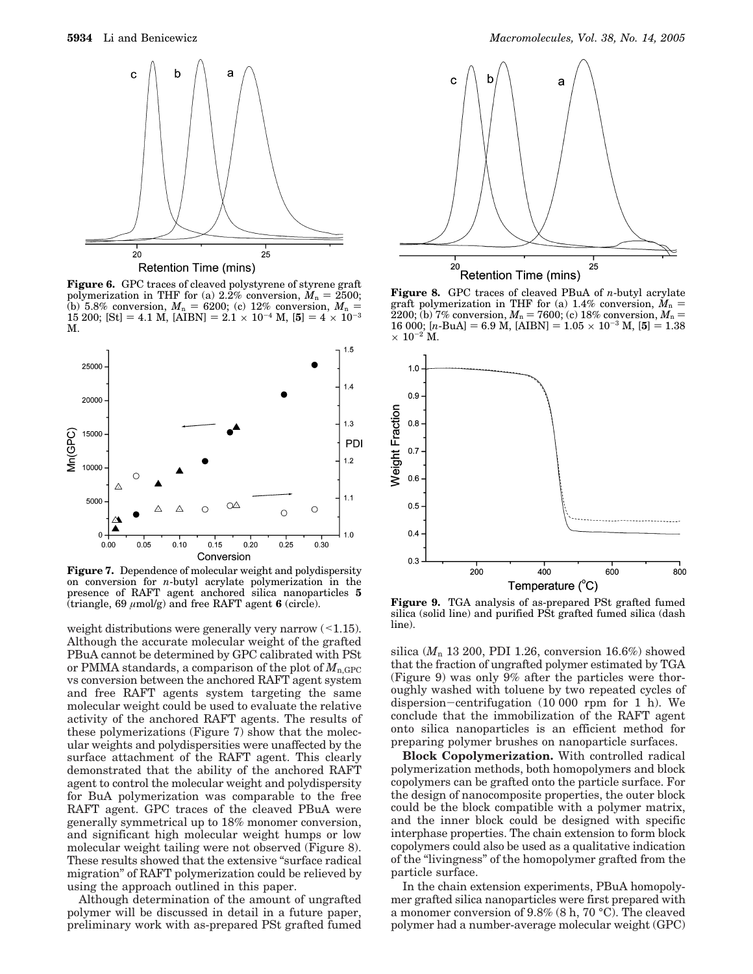

**Figure 6.** GPC traces of cleaved polystyrene of styrene graft polymerization in THF for (a)  $2.\overline{2}\%$  conversion,  $M_n = 2500$ ; (b) 5.8% conversion,  $M_n = 6200$ ; (c) 12% conversion,  $M_n =$ 15 200; [St] = 4.1 M, [AIBN] =  $2.1 \times 10^{-4}$  M, [5] =  $4 \times 10^{-3}$ M.



**Figure 7.** Dependence of molecular weight and polydispersity on conversion for *n*-butyl acrylate polymerization in the presence of RAFT agent anchored silica nanoparticles **5** (triangle,  $69 \mu \text{mol/g}$ ) and free RAFT agent **6** (circle).

weight distributions were generally very narrow  $(1.15)$ . Although the accurate molecular weight of the grafted PBuA cannot be determined by GPC calibrated with PSt or PMMA standards, a comparison of the plot of  $M_{n,\text{GPC}}$ vs conversion between the anchored RAFT agent system and free RAFT agents system targeting the same molecular weight could be used to evaluate the relative activity of the anchored RAFT agents. The results of these polymerizations (Figure 7) show that the molecular weights and polydispersities were unaffected by the surface attachment of the RAFT agent. This clearly demonstrated that the ability of the anchored RAFT agent to control the molecular weight and polydispersity for BuA polymerization was comparable to the free RAFT agent. GPC traces of the cleaved PBuA were generally symmetrical up to 18% monomer conversion, and significant high molecular weight humps or low molecular weight tailing were not observed (Figure 8). These results showed that the extensive "surface radical migration" of RAFT polymerization could be relieved by using the approach outlined in this paper.

Although determination of the amount of ungrafted polymer will be discussed in detail in a future paper, preliminary work with as-prepared PSt grafted fumed



**Figure 8.** GPC traces of cleaved PBuA of *n*-butyl acrylate graft polymerization in THF for (a) 1.4% conversion,  $M_n =$  $2200$ ; (b) 7% conversion,  $M_n = 7600$ ; (c) 18% conversion,  $M_n =$ 16 000;  $[n-BuA] = 6.9$  M,  $[AIBN] = 1.05 \times 10^{-3}$  M,  $[5] = 1.38$  $\times$  10<sup>-2</sup> M.



**Figure 9.** TGA analysis of as-prepared PSt grafted fumed silica (solid line) and purified PSt grafted fumed silica (dash line).

silica  $(M_n 13\,200, \text{ PDI } 1.26, \text{ conversion } 16.6\%)$  showed that the fraction of ungrafted polymer estimated by TGA (Figure 9) was only 9% after the particles were thoroughly washed with toluene by two repeated cycles of dispersion-centrifugation (10 000 rpm for 1 h). We conclude that the immobilization of the RAFT agent onto silica nanoparticles is an efficient method for preparing polymer brushes on nanoparticle surfaces.

**Block Copolymerization.** With controlled radical polymerization methods, both homopolymers and block copolymers can be grafted onto the particle surface. For the design of nanocomposite properties, the outer block could be the block compatible with a polymer matrix, and the inner block could be designed with specific interphase properties. The chain extension to form block copolymers could also be used as a qualitative indication of the "livingness" of the homopolymer grafted from the particle surface.

In the chain extension experiments, PBuA homopolymer grafted silica nanoparticles were first prepared with a monomer conversion of 9.8% (8 h, 70 °C). The cleaved polymer had a number-average molecular weight (GPC)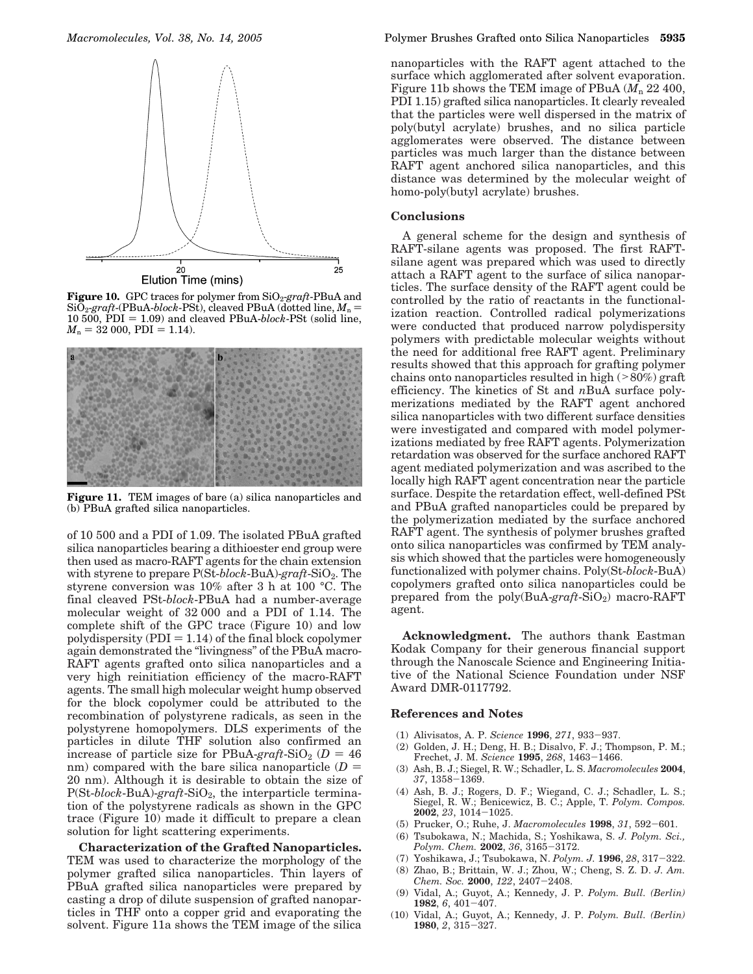

**Figure 10.** GPC traces for polymer from SiO<sub>2</sub>-graft-PBuA and  $SiO<sub>2</sub>-graff-(PBuA-block-PSt)$ , cleaved PBuA (dotted line,  $M<sub>n</sub>$  =  $10\,500$ ,  $PDI = 1.09$ ) and cleaved PBuA-*block*-PSt (solid line,  $M_n = 32\,000$ , PDI = 1.14).



**Figure 11.** TEM images of bare (a) silica nanoparticles and (b) PBuA grafted silica nanoparticles.

of 10 500 and a PDI of 1.09. The isolated PBuA grafted silica nanoparticles bearing a dithioester end group were then used as macro-RAFT agents for the chain extension with styrene to prepare  $P(St-block-BuA)$ -graft-SiO<sub>2</sub>. The styrene conversion was 10% after 3 h at 100 °C. The final cleaved PSt-*block*-PBuA had a number-average molecular weight of 32 000 and a PDI of 1.14. The complete shift of the GPC trace (Figure 10) and low polydispersity  $(PDI = 1.14)$  of the final block copolymer again demonstrated the "livingness" of the PBuA macro-RAFT agents grafted onto silica nanoparticles and a very high reinitiation efficiency of the macro-RAFT agents. The small high molecular weight hump observed for the block copolymer could be attributed to the recombination of polystyrene radicals, as seen in the polystyrene homopolymers. DLS experiments of the particles in dilute THF solution also confirmed an increase of particle size for PBuA-*graft*-SiO<sub>2</sub> ( $D = 46$ ) nm) compared with the bare silica nanoparticle  $(D =$ 20 nm). Although it is desirable to obtain the size of P(St-*block*-BuA)-*graft*-SiO2, the interparticle termination of the polystyrene radicals as shown in the GPC trace (Figure 10) made it difficult to prepare a clean solution for light scattering experiments.

**Characterization of the Grafted Nanoparticles.** TEM was used to characterize the morphology of the polymer grafted silica nanoparticles. Thin layers of PBuA grafted silica nanoparticles were prepared by casting a drop of dilute suspension of grafted nanoparticles in THF onto a copper grid and evaporating the solvent. Figure 11a shows the TEM image of the silica

nanoparticles with the RAFT agent attached to the surface which agglomerated after solvent evaporation. Figure 11b shows the TEM image of PBuA  $(M_n 22 400)$ , PDI 1.15) grafted silica nanoparticles. It clearly revealed that the particles were well dispersed in the matrix of poly(butyl acrylate) brushes, and no silica particle agglomerates were observed. The distance between particles was much larger than the distance between RAFT agent anchored silica nanoparticles, and this distance was determined by the molecular weight of homo-poly(butyl acrylate) brushes.

## **Conclusions**

A general scheme for the design and synthesis of RAFT-silane agents was proposed. The first RAFTsilane agent was prepared which was used to directly attach a RAFT agent to the surface of silica nanoparticles. The surface density of the RAFT agent could be controlled by the ratio of reactants in the functionalization reaction. Controlled radical polymerizations were conducted that produced narrow polydispersity polymers with predictable molecular weights without the need for additional free RAFT agent. Preliminary results showed that this approach for grafting polymer chains onto nanoparticles resulted in high  $(>80%)$  graft efficiency. The kinetics of St and *n*BuA surface polymerizations mediated by the RAFT agent anchored silica nanoparticles with two different surface densities were investigated and compared with model polymerizations mediated by free RAFT agents. Polymerization retardation was observed for the surface anchored RAFT agent mediated polymerization and was ascribed to the locally high RAFT agent concentration near the particle surface. Despite the retardation effect, well-defined PSt and PBuA grafted nanoparticles could be prepared by the polymerization mediated by the surface anchored RAFT agent. The synthesis of polymer brushes grafted onto silica nanoparticles was confirmed by TEM analysis which showed that the particles were homogeneously functionalized with polymer chains. Poly(St-*block*-BuA) copolymers grafted onto silica nanoparticles could be prepared from the poly( $BuA\text{-}graf\text{-}SiO_2$ ) macro-RAFT agent.

**Acknowledgment.** The authors thank Eastman Kodak Company for their generous financial support through the Nanoscale Science and Engineering Initiative of the National Science Foundation under NSF Award DMR-0117792.

#### **References and Notes**

- (1) Alivisatos, A. P. *Science* **1996**, *271*, 933-937.
- (2) Golden, J. H.; Deng, H. B.; Disalvo, F. J.; Thompson, P. M.; Frechet, J. M. *Science* **1995**, *268*, 1463-1466.
- (3) Ash, B. J.; Siegel, R. W.; Schadler, L. S. *Macromolecules* **2004**, *37*, 1358-1369.
- (4) Ash, B. J.; Rogers, D. F.; Wiegand, C. J.; Schadler, L. S.; Siegel, R. W.; Benicewicz, B. C.; Apple, T. *Polym. Compos.* **2002**, *23*, 1014-1025.
- (5) Prucker, O.; Ruhe, J. *Macromolecules* **1998**, *31*, 592-601.
- (6) Tsubokawa, N.; Machida, S.; Yoshikawa, S. *J. Polym. Sci., Polym. Chem.* **2002**, *36*, 3165-3172.
- (7) Yoshikawa, J.; Tsubokawa, N. *Polym. J.* **1996**, *28*, 317-322.
- (8) Zhao, B.; Brittain, W. J.; Zhou, W.; Cheng, S. Z. D. *J. Am. Chem. Soc.* **2000**, *122*, 2407-2408.
- (9) Vidal, A.; Guyot, A.; Kennedy, J. P. *Polym. Bull. (Berlin)* **1982**, *6*, 401-407.
- (10) Vidal, A.; Guyot, A.; Kennedy, J. P. *Polym. Bull. (Berlin)* **1980**, *2*, 315-327.